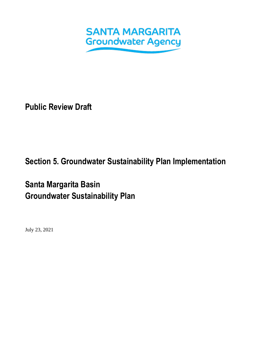

**Public Review Draft**

# **Section 5. Groundwater Sustainability Plan Implementation**

# **Santa Margarita Basin Groundwater Sustainability Plan**

July 23, 2021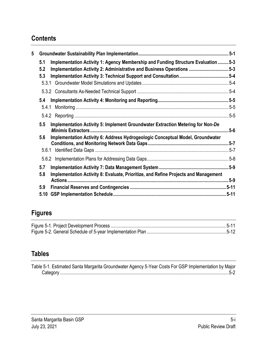# **Contents**

| 5 |                                                                                                                                                                           |          |
|---|---------------------------------------------------------------------------------------------------------------------------------------------------------------------------|----------|
|   | Implementation Activity 1: Agency Membership and Funding Structure Evaluation  5-3<br>5.1<br>Implementation Activity 2: Administrative and Business Operations 5-3<br>5.2 |          |
|   | 5.3                                                                                                                                                                       |          |
|   | 5.3.1                                                                                                                                                                     |          |
|   |                                                                                                                                                                           |          |
|   | 5.4                                                                                                                                                                       |          |
|   | 5.4.1                                                                                                                                                                     |          |
|   |                                                                                                                                                                           |          |
|   | 5.5<br>Implementation Activity 5: Implement Groundwater Extraction Metering for Non-De                                                                                    | $5-6$    |
|   | Implementation Activity 6: Address Hydrogeologic Conceptual Model, Groundwater<br>5.6                                                                                     |          |
|   | 5.6.1                                                                                                                                                                     | $.5 - 7$ |
|   |                                                                                                                                                                           |          |
|   | 5.7<br>Implementation Activity 8: Evaluate, Prioritize, and Refine Projects and Management<br>5.8                                                                         |          |
|   |                                                                                                                                                                           |          |
|   | 5.9                                                                                                                                                                       |          |
|   | 5.10                                                                                                                                                                      |          |

# **Figures**

### **Tables**

| Table 5-1. Estimated Santa Margarita Groundwater Agency 5-Year Costs For GSP Implementation by Major |  |  |  |
|------------------------------------------------------------------------------------------------------|--|--|--|
|                                                                                                      |  |  |  |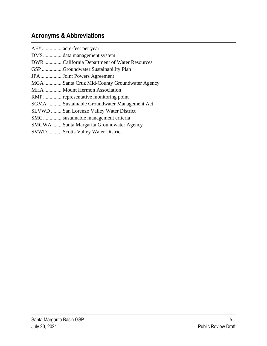# **Acronyms & Abbreviations**

| DMSdata management system                    |
|----------------------------------------------|
|                                              |
| DWR California Department of Water Resources |
| GSPGroundwater Sustainability Plan           |
| JPAJoint Powers Agreement                    |
| MGA Santa Cruz Mid-County Groundwater Agency |
| MHA Mount Hermon Association                 |
| RMPrepresentative monitoring point           |
| SGMA Sustainable Groundwater Management Act  |
| SLVWD San Lorenzo Valley Water District      |
| SMCsustainable management criteria           |
| SMGWA Santa Margarita Groundwater Agency     |
| SVWDScotts Valley Water District             |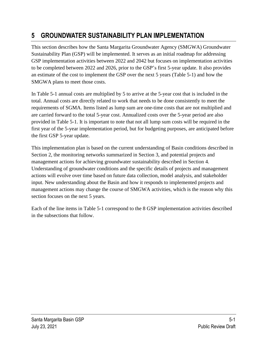# <span id="page-3-0"></span>**5 GROUNDWATER SUSTAINABILITY PLAN IMPLEMENTATION**

This section describes how the Santa Margarita Groundwater Agency (SMGWA) Groundwater Sustainability Plan (GSP) will be implemented. It serves as an initial roadmap for addressing GSP implementation activities between 2022 and 2042 but focuses on implementation activities to be completed between 2022 and 2026, prior to the GSP's first 5-year update. It also provides an estimate of the cost to implement the GSP over the next 5 years [\(Table 5-1\)](#page-4-0) and how the SMGWA plans to meet those costs.

In [Table 5-1](#page-4-0) annual costs are multiplied by 5 to arrive at the 5-year cost that is included in the total. Annual costs are directly related to work that needs to be done consistently to meet the requirements of SGMA. Items listed as lump sum are one-time costs that are not multiplied and are carried forward to the total 5-year cost. Annualized costs over the 5-year period are also provided in [Table 5-1.](#page-4-0) It is important to note that not all lump sum costs will be required in the first year of the 5-year implementation period, but for budgeting purposes, are anticipated before the first GSP 5-year update.

This implementation plan is based on the current understanding of Basin conditions described in Section 2, the monitoring networks summarized in Section 3, and potential projects and management actions for achieving groundwater sustainability described in Section 4. Understanding of groundwater conditions and the specific details of projects and management actions will evolve over time based on future data collection, model analysis, and stakeholder input. New understanding about the Basin and how it responds to implemented projects and management actions may change the course of SMGWA activities, which is the reason why this section focuses on the next 5 years.

Each of the line items in [Table 5-1](#page-4-0) correspond to the 8 GSP implementation activities described in the subsections that follow.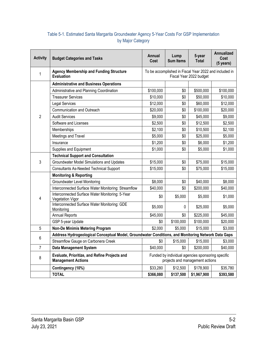#### <span id="page-4-0"></span>Table 5-1. Estimated Santa Margarita Groundwater Agency 5-Year Costs For GSP Implementation by Major Category

| <b>Activity</b> | <b>Budget Categories and Tasks</b>                                                                 | Annual<br>Cost                                                                       | Lump<br><b>Sum Items</b> | 5-year<br><b>Total</b> | Annualized<br>Cost<br>(5 years) |  |  |
|-----------------|----------------------------------------------------------------------------------------------------|--------------------------------------------------------------------------------------|--------------------------|------------------------|---------------------------------|--|--|
| $\mathbf{1}$    | <b>Agency Membership and Funding Structure</b><br><b>Evaluation</b>                                | To be accomplished in Fiscal Year 2022 and included in<br>Fiscal Year 2022 budget    |                          |                        |                                 |  |  |
|                 | <b>Administrative and Business Operations</b>                                                      |                                                                                      |                          |                        |                                 |  |  |
|                 | Administrative and Planning Coordination                                                           | \$100,000                                                                            | \$0                      | \$500,000              | \$100,000                       |  |  |
|                 | <b>Treasurer Services</b>                                                                          | \$10,000                                                                             | \$0                      | \$50,000               | \$10,000                        |  |  |
|                 | <b>Legal Services</b>                                                                              | \$12,000                                                                             | \$0                      | \$60,000               | \$12,000                        |  |  |
|                 | Communication and Outreach                                                                         | \$20,000                                                                             | \$0                      | \$100,000              | \$20,000                        |  |  |
| $\overline{2}$  | <b>Audit Services</b>                                                                              | \$9,000                                                                              | \$0                      | \$45,000               | \$9,000                         |  |  |
|                 | Software and Licenses                                                                              | \$2,500                                                                              | \$0                      | \$12,500               | \$2,500                         |  |  |
|                 | Memberships                                                                                        | \$2,100                                                                              | \$0                      | \$10,500               | \$2,100                         |  |  |
|                 | Meetings and Travel                                                                                | \$5,000                                                                              | \$0                      | \$25,000               | \$5,000                         |  |  |
|                 | Insurance                                                                                          | \$1,200                                                                              | \$0                      | \$6,000                | \$1,200                         |  |  |
|                 | Supplies and Equipment                                                                             | \$1,000                                                                              | \$0                      | \$5,000                | \$1,000                         |  |  |
|                 | <b>Technical Support and Consultation</b>                                                          |                                                                                      |                          |                        |                                 |  |  |
| $\mathfrak{Z}$  | Groundwater Model Simulations and Updates                                                          | \$15,000                                                                             | \$0                      | \$75,000               | \$15,000                        |  |  |
|                 | <b>Consultants As-Needed Technical Support</b>                                                     | \$15,000                                                                             | \$0                      | \$75,000               | \$15,000                        |  |  |
|                 | <b>Monitoring &amp; Reporting</b>                                                                  |                                                                                      |                          |                        |                                 |  |  |
|                 | Groundwater Level Monitoring                                                                       | \$8,000                                                                              | \$0                      | \$40,000               | \$8,000                         |  |  |
|                 | Interconnected Surface Water Monitoring: Streamflow                                                | \$40,000                                                                             | \$0                      | \$200,000              | \$40,000                        |  |  |
| $\overline{4}$  | Interconnected Surface Water Monitoring: 5-Year<br><b>Vegetation Vigor</b>                         | \$0                                                                                  | \$5,000                  | \$5,000                | \$1,000                         |  |  |
|                 | Interconnected Surface Water Monitoring: GDE<br>Monitoring                                         | \$5,000                                                                              | 0                        | \$25,000               | \$5,000                         |  |  |
|                 | <b>Annual Reports</b>                                                                              | \$45,000                                                                             | \$0                      | \$225,000              | \$45,000                        |  |  |
|                 | GSP 5-year Update                                                                                  | \$0                                                                                  | \$100,000                | \$100,000              | \$20,000                        |  |  |
| 5               | Non-De Minimis Metering Program                                                                    | \$2,000                                                                              | \$5,000                  | \$15,000               | \$3,000                         |  |  |
| 6               | Address Hydrogeological Conceptual Model, Groundwater Conditions, and Monitoring Network Data Gaps |                                                                                      |                          |                        |                                 |  |  |
|                 | Streamflow Gauge on Carbonera Creek                                                                | \$0                                                                                  | \$15,000                 | \$15,000               | \$3,000                         |  |  |
| $\overline{7}$  | <b>Data Management System</b>                                                                      | \$40,000                                                                             | \$0                      | \$200,000              | \$40,000                        |  |  |
| 8               | Evaluate, Prioritize, and Refine Projects and<br><b>Management Actions</b>                         | Funded by individual agencies sponsoring specific<br>projects and management actions |                          |                        |                                 |  |  |
|                 | Contingency (10%)                                                                                  | \$33,280                                                                             | \$12,500                 | \$178,900              | \$35,780                        |  |  |
|                 | <b>TOTAL</b>                                                                                       | \$366,080                                                                            | \$137,500                | \$1,967,900            | \$393,580                       |  |  |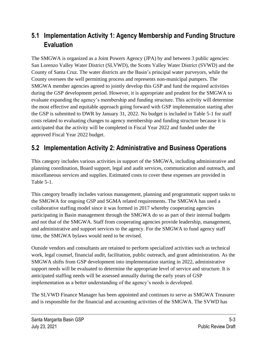## <span id="page-5-0"></span>**5.1 Implementation Activity 1: Agency Membership and Funding Structure Evaluation**

The SMGWA is organized as a Joint Powers Agency (JPA) by and between 3 public agencies: San Lorenzo Valley Water District (SLVWD), the Scotts Valley Water District (SVWD) and the County of Santa Cruz. The water districts are the Basin's principal water purveyors, while the County oversees the well permitting process and represents non-municipal pumpers. The SMGWA member agencies agreed to jointly develop this GSP and fund the required activities during the GSP development period. However, it is appropriate and prudent for the SMGWA to evaluate expanding the agency's membership and funding structure. This activity will determine the most effective and equitable approach going forward with GSP implementation starting after the GSP is submitted to DWR by January 31, 2022. No budget is included in [Table 5-1](#page-4-0) for staff costs related to evaluating changes to agency membership and funding structure because it is anticipated that the activity will be completed in Fiscal Year 2022 and funded under the approved Fiscal Year 2022 budget.

## <span id="page-5-1"></span>**5.2 Implementation Activity 2: Administrative and Business Operations**

This category includes various activities in support of the SMGWA, including administrative and planning coordination, Board support, legal and audit services, communication and outreach, and miscellaneous services and supplies. Estimated costs to cover these expenses are provided in [Table 5-1.](#page-4-0)

This category broadly includes various management, planning and programmatic support tasks to the SMGWA for ongoing GSP and SGMA related requirements. The SMGWA has used a collaborative staffing model since it was formed in 2017 whereby cooperating agencies participating in Basin management through the SMGWA do so as part of their internal budgets and not that of the SMGWA. Staff from cooperating agencies provide leadership, management, and administrative and support services to the agency. For the SMGWA to fund agency staff time, the SMGWA bylaws would need to be revised.

Outside vendors and consultants are retained to perform specialized activities such as technical work, legal counsel, financial audit, facilitation, public outreach, and grant administration. As the SMGWA shifts from GSP development into implementation starting in 2022, administrative support needs will be evaluated to determine the appropriate level of service and structure. It is anticipated staffing needs will be assessed annually during the early years of GSP implementation as a better understanding of the agency's needs is developed.

The SLVWD Finance Manager has been appointed and continues to serve as SMGWA Treasurer and is responsible for the financial and accounting activities of the SMGWA. The SVWD has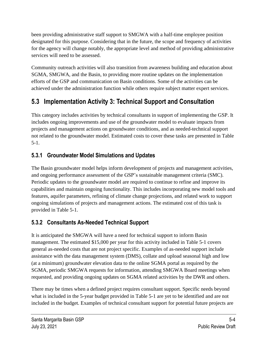been providing administrative staff support to SMGWA with a half-time employee position designated for this purpose. Considering that in the future, the scope and frequency of activities for the agency will change notably, the appropriate level and method of providing administrative services will need to be assessed.

Community outreach activities will also transition from awareness building and education about SGMA, SMGWA, and the Basin, to providing more routine updates on the implementation efforts of the GSP and communication on Basin conditions. Some of the activities can be achieved under the administration function while others require subject matter expert services.

# <span id="page-6-0"></span>**5.3 Implementation Activity 3: Technical Support and Consultation**

This category includes activities by technical consultants in support of implementing the GSP. It includes ongoing improvements and use of the groundwater model to evaluate impacts from projects and management actions on groundwater conditions, and as needed-technical support not related to the groundwater model. Estimated costs to cover these tasks are presented in [Table](#page-4-0)  [5-1.](#page-4-0)

### <span id="page-6-1"></span>**5.3.1 Groundwater Model Simulations and Updates**

The Basin groundwater model helps inform development of projects and management activities, and ongoing performance assessment of the GSP's sustainable management criteria (SMC). Periodic updates to the groundwater model are required to continue to refine and improve its capabilities and maintain ongoing functionality. This includes incorporating new model tools and features, aquifer parameters, refining of climate change projections, and related work to support ongoing simulations of projects and management actions. The estimated cost of this task is provided in [Table 5-1.](#page-4-0)

### <span id="page-6-2"></span>**5.3.2 Consultants As-Needed Technical Support**

It is anticipated the SMGWA will have a need for technical support to inform Basin management. The estimated \$15,000 per year for this activity included in [Table 5-1](#page-4-0) covers general as-needed costs that are not project specific. Examples of as-needed support include assistance with the data management system (DMS), collate and upload seasonal high and low (at a minimum) groundwater elevation data to the online SGMA portal as required by the SGMA, periodic SMGWA requests for information, attending SMGWA Board meetings when requested, and providing ongoing updates on SGMA related activities by the DWR and others.

There may be times when a defined project requires consultant support. Specific needs beyond what is included in the 5-year budget provided in [Table 5-1](#page-4-0) are yet to be identified and are not included in the budget. Examples of technical consultant support for potential future projects are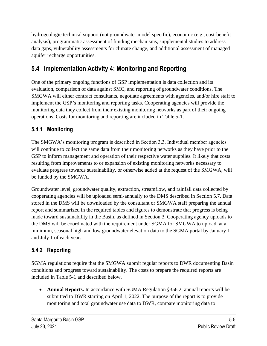hydrogeologic technical support (not groundwater model specific), economic (e.g., cost-benefit analysis), programmatic assessment of funding mechanisms, supplemental studies to address data gaps, vulnerability assessments for climate change, and additional assessment of managed aquifer recharge opportunities.

# <span id="page-7-0"></span>**5.4 Implementation Activity 4: Monitoring and Reporting**

One of the primary ongoing functions of GSP implementation is data collection and its evaluation, comparison of data against SMC, and reporting of groundwater conditions. The SMGWA will either contract consultants, negotiate agreements with agencies, and/or hire staff to implement the GSP's monitoring and reporting tasks. Cooperating agencies will provide the monitoring data they collect from their existing monitoring networks as part of their ongoing operations. Costs for monitoring and reporting are included in [Table 5-1.](#page-4-0)

### <span id="page-7-1"></span>**5.4.1 Monitoring**

The SMGWA's monitoring program is described in Section 3.3. Individual member agencies will continue to collect the same data from their monitoring networks as they have prior to the GSP to inform management and operation of their respective water supplies. It likely that costs resulting from improvements to or expansion of existing monitoring networks necessary to evaluate progress towards sustainability, or otherwise added at the request of the SMGWA, will be funded by the SMGWA.

Groundwater level, groundwater quality, extraction, streamflow, and rainfall data collected by cooperating agencies will be uploaded semi-annually to the DMS described in Section [5.7.](#page-11-0) Data stored in the DMS will be downloaded by the consultant or SMGWA staff preparing the annual report and summarized in the required tables and figures to demonstrate that progress is being made toward sustainability in the Basin, as defined in Section 3. Cooperating agency uploads to the DMS will be coordinated with the requirement under SGMA for SMGWA to upload, at a minimum, seasonal high and low groundwater elevation data to the SGMA portal by January 1 and July 1 of each year.

### <span id="page-7-2"></span>**5.4.2 Reporting**

SGMA regulations require that the SMGWA submit regular reports to DWR documenting Basin conditions and progress toward sustainability. The costs to prepare the required reports are included in [Table 5-1](#page-4-0) and described below.

• **Annual Reports.** In accordance with SGMA Regulation §356.2, annual reports will be submitted to DWR starting on April 1, 2022. The purpose of the report is to provide monitoring and total groundwater use data to DWR, compare monitoring data to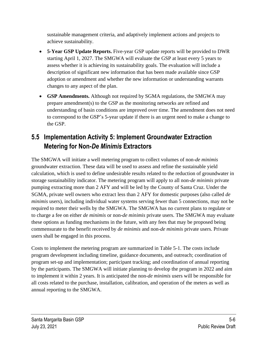sustainable management criteria, and adaptively implement actions and projects to achieve sustainability.

- **5-Year GSP Update Reports.** Five-year GSP update reports will be provided to DWR starting April 1, 2027. The SMGWA will evaluate the GSP at least every 5 years to assess whether it is achieving its sustainability goals. The evaluation will include a description of significant new information that has been made available since GSP adoption or amendment and whether the new information or understanding warrants changes to any aspect of the plan.
- **GSP Amendments.** Although not required by SGMA regulations, the SMGWA may prepare amendment(s) to the GSP as the monitoring networks are refined and understanding of basin conditions are improved over time. The amendment does not need to correspond to the GSP's 5-year update if there is an urgent need to make a change to the GSP.

# <span id="page-8-0"></span>**5.5 Implementation Activity 5: Implement Groundwater Extraction Metering for Non-***De Minimis* **Extractors**

The SMGWA will initiate a well metering program to collect volumes of non-*de minimis* groundwater extraction. These data will be used to assess and refine the sustainable yield calculation, which is used to define undesirable results related to the reduction of groundwater in storage sustainability indicator. The metering program will apply to all non-*de minimis* private pumping extracting more than 2 AFY and will be led by the County of Santa Cruz. Under the SGMA, private well owners who extract less than 2 AFY for domestic purposes (also called *de minimis* users), including individual water systems serving fewer than 5 connections, may not be required to meter their wells by the SMGWA. The SMGWA has no current plans to regulate or to charge a fee on either *de minimis* or non-*de minimis* private users. The SMGWA may evaluate these options as funding mechanisms in the future, with any fees that may be proposed being commensurate to the benefit received by *de minimis* and non-*de minimis* private users. Private users shall be engaged in this process.

Costs to implement the metering program are summarized in [Table 5-1.](#page-4-0) The costs include program development including timeline, guidance documents, and outreach; coordination of program set-up and implementation; participant tracking; and coordination of annual reporting by the participants. The SMGWA will initiate planning to develop the program in 2022 and aim to implement it within 2 years. It is anticipated the non-*de minimis* users will be responsible for all costs related to the purchase, installation, calibration, and operation of the meters as well as annual reporting to the SMGWA.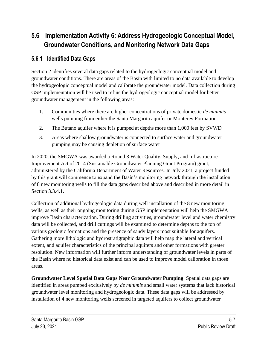# <span id="page-9-0"></span>**5.6 Implementation Activity 6: Address Hydrogeologic Conceptual Model, Groundwater Conditions, and Monitoring Network Data Gaps**

#### <span id="page-9-1"></span>**5.6.1 Identified Data Gaps**

Section 2 identifies several data gaps related to the hydrogeologic conceptual model and groundwater conditions. There are areas of the Basin with limited to no data available to develop the hydrogeologic conceptual model and calibrate the groundwater model. Data collection during GSP implementation will be used to refine the hydrogeologic conceptual model for better groundwater management in the following areas:

- 1. Communities where there are higher concentrations of private domestic *de minimis* wells pumping from either the Santa Margarita aquifer or Monterey Formation
- 2. The Butano aquifer where it is pumped at depths more than 1,000 feet by SVWD
- 3. Areas where shallow groundwater is connected to surface water and groundwater pumping may be causing depletion of surface water

In 2020, the SMGWA was awarded a Round 3 Water Quality, Supply, and Infrastructure Improvement Act of 2014 (Sustainable Groundwater Planning Grant Program) grant, administered by the California Department of Water Resources. In July 2021, a project funded by this grant will commence to expand the Basin's monitoring network through the installation of 8 new monitoring wells to fill the data gaps described above and described in more detail in Section 3.3.4.1.

Collection of additional hydrogeologic data during well installation of the 8 new monitoring wells, as well as their ongoing monitoring during GSP implementation will help the SMGWA improve Basin characterization. During drilling activities, groundwater level and water chemistry data will be collected, and drill cuttings will be examined to determine depths to the top of various geologic formations and the presence of sandy layers most suitable for aquifers. Gathering more lithologic and hydrostratigraphic data will help map the lateral and vertical extent, and aquifer characteristics of the principal aquifers and other formations with greater resolution. New information will further inform understanding of groundwater levels in parts of the Basin where no historical data exist and can be used to improve model calibration in those areas.

**Groundwater Level Spatial Data Gaps Near Groundwater Pumping**: Spatial data gaps are identified in areas pumped exclusively by *de minimis* and small water systems that lack historical groundwater level monitoring and hydrogeologic data. These data gaps will be addressed by installation of 4 new monitoring wells screened in targeted aquifers to collect groundwater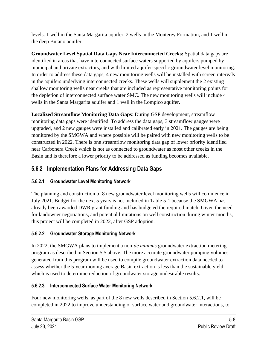levels: 1 well in the Santa Margarita aquifer, 2 wells in the Monterey Formation, and 1 well in the deep Butano aquifer.

**Groundwater Level Spatial Data Gaps Near Interconnected Creeks:** Spatial data gaps are identified in areas that have interconnected surface waters supported by aquifers pumped by municipal and private extractors, and with limited aquifer-specific groundwater level monitoring. In order to address these data gaps, 4 new monitoring wells will be installed with screen intervals in the aquifers underlying interconnected creeks. These wells will supplement the 2 existing shallow monitoring wells near creeks that are included as representative monitoring points for the depletion of interconnected surface water SMC. The new monitoring wells will include 4 wells in the Santa Margarita aquifer and 1 well in the Lompico aquifer.

**Localized Streamflow Monitoring Data Gaps**: During GSP development, streamflow monitoring data gaps were identified. To address the data gaps, 3 streamflow gauges were upgraded, and 2 new gauges were installed and calibrated early in 2021. The gauges are being monitored by the SMGWA and where possible will be paired with new monitoring wells to be constructed in 2022. There is one streamflow monitoring data gap of lower priority identified near Carbonera Creek which is not as connected to groundwater as most other creeks in the Basin and is therefore a lower priority to be addressed as funding becomes available.

### <span id="page-10-0"></span>**5.6.2 Implementation Plans for Addressing Data Gaps**

#### <span id="page-10-1"></span>**5.6.2.1 Groundwater Level Monitoring Network**

The planning and construction of 8 new groundwater level monitoring wells will commence in July 2021. Budget for the next 5 years is not included in Table 5-1 because the SMGWA has already been awarded DWR grant funding and has budgeted the required match. Given the need for landowner negotiations, and potential limitations on well construction during winter months, this project will be completed in 2022, after GSP adoption.

#### **5.6.2.2 Groundwater Storage Monitoring Network**

In 2022, the SMGWA plans to implement a non-*de minimis* groundwater extraction metering program as described in Section [5.5](#page-8-0) above. The more accurate groundwater pumping volumes generated from this program will be used to compile groundwater extraction data needed to assess whether the 5-year moving average Basin extraction is less than the sustainable yield which is used to determine reduction of groundwater storage undesirable results.

#### **5.6.2.3 Interconnected Surface Water Monitoring Network**

Four new monitoring wells, as part of the 8 new wells described in Section [5.6.2.1,](#page-10-1) will be completed in 2022 to improve understanding of surface water and groundwater interactions, to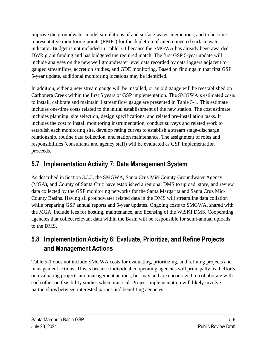improve the groundwater model simulations of and surface water interactions, and to become representative monitoring points (RMPs) for the depletion of interconnected surface water indicator. Budget is not included in Table 5-1 because the SMGWA has already been awarded DWR grant funding and has budgeted the required match. The first GSP 5-year update will include analyses on the new well groundwater level data recorded by data loggers adjacent to gauged streamflow, accretion studies, and GDE monitoring. Based on findings in that first GSP 5-year update, additional monitoring locations may be identified.

In addition, either a new stream gauge will be installed, or an old gauge will be reestablished on Carbonera Creek within the first 5 years of GSP implementation. The SMGWA's estimated costs to install, calibrate and maintain 1 streamflow gauge are presented in Table 5-1. This estimate includes one-time costs related to the initial establishment of the new station. The cost estimate includes planning, site selection, design specifications, and related pre-installation tasks. It includes the cost to install monitoring instrumentation, conduct surveys and related work to establish each monitoring site, develop rating curves to establish a stream stage-discharge relationship, routine data collection, and station maintenance. The assignment of roles and responsibilities (consultants and agency staff) will be evaluated as GSP implementation proceeds.

# <span id="page-11-0"></span>**5.7 Implementation Activity 7: Data Management System**

As described in Section 3.3.3, the SMGWA, Santa Cruz Mid-County Groundwater Agency (MGA), and County of Santa Cruz have established a regional DMS to upload, store, and review data collected by the GSP monitoring networks for the Santa Margarita and Santa Cruz Mid-County Basins. Having all groundwater related data in the DMS will streamline data collation while preparing GSP annual reports and 5-year updates. Ongoing costs to SMGWA, shared with the MGA, include fees for hosting, maintenance, and licensing of the WISKI DMS. Cooperating agencies that collect relevant data within the Basin will be responsible for semi-annual uploads to the DMS.

# <span id="page-11-1"></span>**5.8 Implementation Activity 8: Evaluate, Prioritize, and Refine Projects and Management Actions**

[Table 5-1](#page-4-0) does not include SMGWA costs for evaluating, prioritizing, and refining projects and management actions. This is because individual cooperating agencies will principally lead efforts on evaluating projects and management actions, but may and are encouraged to collaborate with each other on feasibility studies when practical. Project implementation will likely involve partnerships between interested parties and benefiting agencies.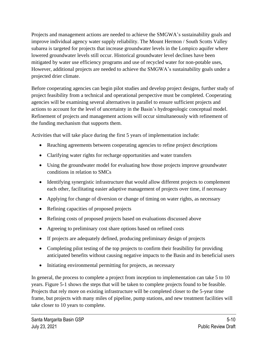Projects and management actions are needed to achieve the SMGWA's sustainability goals and improve individual agency water supply reliability. The Mount Hermon / South Scotts Valley subarea is targeted for projects that increase groundwater levels in the Lompico aquifer where lowered groundwater levels still occur. Historical groundwater level declines have been mitigated by water use efficiency programs and use of recycled water for non-potable uses, However, additional projects are needed to achieve the SMGWA's sustainability goals under a projected drier climate.

Before cooperating agencies can begin pilot studies and develop project designs, further study of project feasibility from a technical and operational perspective must be completed. Cooperating agencies will be examining several alternatives in parallel to ensure sufficient projects and actions to account for the level of uncertainty in the Basin's hydrogeologic conceptual model. Refinement of projects and management actions will occur simultaneously with refinement of the funding mechanism that supports them.

Activities that will take place during the first 5 years of implementation include:

- Reaching agreements between cooperating agencies to refine project descriptions
- Clarifying water rights for recharge opportunities and water transfers
- Using the groundwater model for evaluating how those projects improve groundwater conditions in relation to SMCs
- Identifying synergistic infrastructure that would allow different projects to complement each other, facilitating easier adaptive management of projects over time, if necessary
- Applying for change of diversion or change of timing on water rights, as necessary
- Refining capacities of proposed projects
- Refining costs of proposed projects based on evaluations discussed above
- Agreeing to preliminary cost share options based on refined costs
- If projects are adequately defined, producing preliminary design of projects
- Completing pilot testing of the top projects to confirm their feasibility for providing anticipated benefits without causing negative impacts to the Basin and its beneficial users
- Initiating environmental permitting for projects, as necessary

In general, the process to complete a project from inception to implementation can take 5 to 10 years. [Figure 5-1](#page-13-2) shows the steps that will be taken to complete projects found to be feasible. Projects that rely more on existing infrastructure will be completed closer to the 5-year time frame, but projects with many miles of pipeline, pump stations, and new treatment facilities will take closer to 10 years to complete.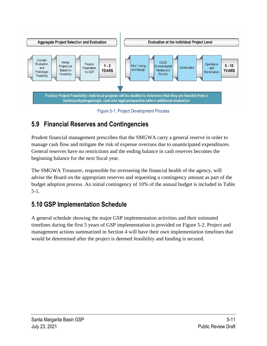

Figure 5-1. Project Development Process

# <span id="page-13-2"></span><span id="page-13-0"></span>**5.9 Financial Reserves and Contingencies**

Prudent financial management prescribes that the SMGWA carry a general reserve in order to manage cash flow and mitigate the risk of expense overruns due to unanticipated expenditures. General reserves have no restrictions and the ending balance in cash reserves becomes the beginning balance for the next fiscal year.

The SMGWA Treasurer, responsible for overseeing the financial health of the agency, will advise the Board on the appropriate reserves and requesting a contingency amount as part of the budget adoption process. An initial contingency of 10% of the annual budget is included in [Table](#page-4-0)  [5-1.](#page-4-0)

### <span id="page-13-1"></span>**5.10 GSP Implementation Schedule**

A general schedule showing the major GSP implementation activities and their estimated timelines during the first 5 years of GSP implementation is provided on [Figure 5-2.](#page-14-0) Project and management actions summarized in Section 4 will have their own implementation timelines that would be determined after the project is deemed feasibility and funding is secured.